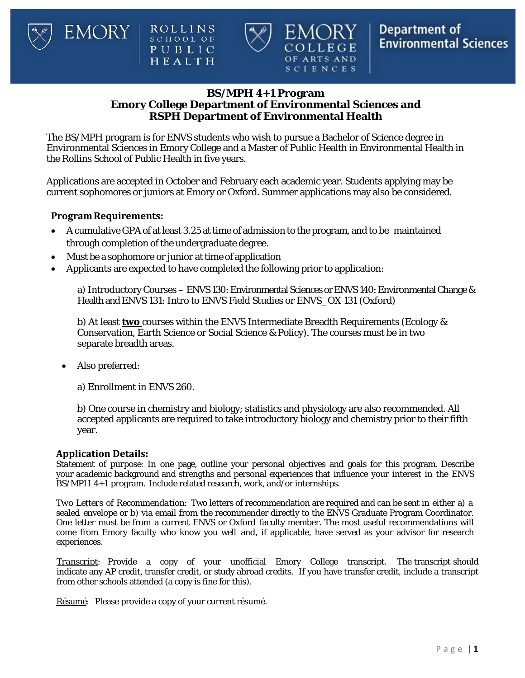

## **BS/MPH 4+1 Program Emory College Department of Environmental Sciences and RSPH Department of Environmental Health**

OF ARTS AND SCIENCES

The BS/MPH program is for ENVS students who wish to pursue a Bachelor of Science degree in Environmental Sciences in Emory College and a Master of Public Health in Environmental Health in the Rollins School of Public Health in five years.

Applications are accepted in October and February each academic year. Students applying may be current sophomores or juniors at Emory or Oxford. Summer applications may also be considered.

### **ProgramRequirements:**

EMORY

- A cumulative GPA of at least 3.25 at time of admission to the program, and to be maintained through completion of the undergraduate degree.
- Must be a sophomore or junior at time of application

ROLLINS<br>school of<br>PUBLIC<br>HEALTH

• Applicants are expected to have completed the following prior to application:

a) Introductory Courses – ENVS 130: Environmental Sciences or ENVS 140: Environmental Change & Health and ENVS 131: Intro to ENVS Field Studies or ENVS\_OX 131 (Oxford)

b) At least **two** courses within the ENVS Intermediate Breadth Requirements (Ecology & Conservation, Earth Science or Social Science & Policy). The courses must be in two separate breadth areas.

- Also preferred:
	- a) Enrollment in ENVS 260.

b) One course in chemistry and biology; statistics and physiology are also recommended. All accepted applicants are required to take introductory biology and chemistry prior to their fifth year.

#### **Application Details:**

*Statement of purpose*: In one page, outline your personal objectives and goals for this program. Describe your academic background and strengths and personal experiences that influence your interest in the ENVS BS/MPH 4+1 program. Include related research, work, and/or internships.

*Two Letters of Recommendation*: Two letters of recommendation are required and can be sent in either a) a sealed envelope or b) via email from the recommender directly to the ENVS Graduate Program Coordinator. One letter must be from a current ENVS or Oxford faculty member. The most useful recommendations will come from Emory faculty who know you well and, if applicable, have served as your advisor for research experiences.

*Transcript*: Provide a copy of your unofficial Emory College transcript. The transcript should indicate any AP credit, transfer credit, or study abroad credits. If you have transfer credit, include a transcript from other schools attended (a copy is fine for this).

*Résumé*: Please provide a copy of your current résumé.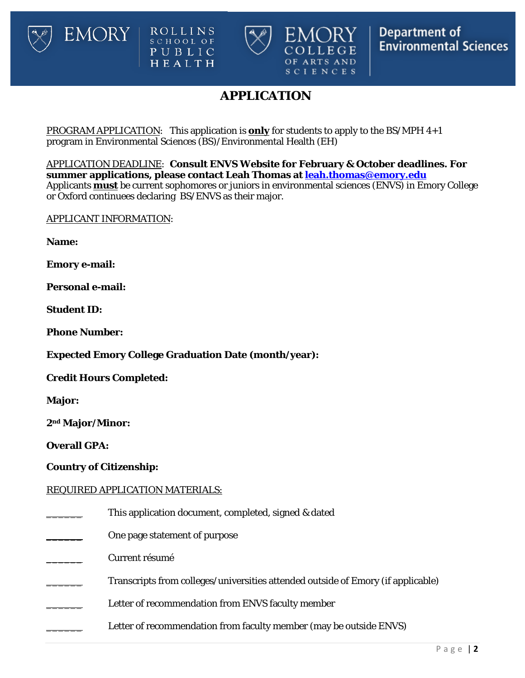





# **APPLICATION**

PROGRAM APPLICATION: This application is **only** for students to apply to the BS/MPH 4+1 program in Environmental Sciences (BS)/Environmental Health (EH)

APPLICATION DEADLINE: **Consult ENVS Website for February & October deadlines. For summer applications, please contact Leah Thomas at [leah.thomas@emory.edu](mailto:leah.thomas@emory.edu)** Applicants **must** be current sophomores or juniors in environmental sciences (ENVS) in Emory College or Oxford continuees declaring BS/ENVS as their major.

APPLICANT INFORMATION:

**EMORY** 

**Name:**

**Emory e-mail:**

**Personal e-mail:**

**Student ID:**

**Phone Number:**

**Expected Emory College Graduation Date (month/year):**

**Credit Hours Completed:** 

**Major:** 

**2nd Major/Minor:**

**Overall GPA:** 

### **Country of Citizenship:**

### REQUIRED APPLICATION MATERIALS:

This application document, completed, signed & dated

One page statement of purpose

\_\_\_\_\_\_ Current résumé

Transcripts from colleges/universities attended outside of Emory (if applicable)

Letter of recommendation from ENVS faculty member

Letter of recommendation from faculty member (may be outside ENVS)